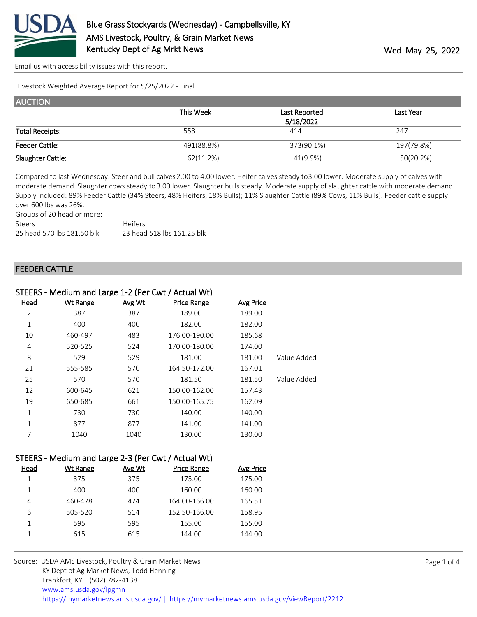

Livestock Weighted Average Report for 5/25/2022 - Final

| <b>AUCTION</b>         |            |                            |            |
|------------------------|------------|----------------------------|------------|
|                        | This Week  | Last Reported<br>5/18/2022 | Last Year  |
| <b>Total Receipts:</b> | 553        | 414                        | 247        |
| <b>Feeder Cattle:</b>  | 491(88.8%) | 373(90.1%)                 | 197(79.8%) |
| Slaughter Cattle:      | 62(11.2%)  | 41(9.9%)                   | 50(20.2%)  |

Compared to last Wednesday: Steer and bull calves 2.00 to 4.00 lower. Heifer calves steady to 3.00 lower. Moderate supply of calves with moderate demand. Slaughter cows steady to 3.00 lower. Slaughter bulls steady. Moderate supply of slaughter cattle with moderate demand. Supply included: 89% Feeder Cattle (34% Steers, 48% Heifers, 18% Bulls); 11% Slaughter Cattle (89% Cows, 11% Bulls). Feeder cattle supply over 600 lbs was 26%.

Groups of 20 head or more: Steers Heifers 25 head 570 lbs 181.50 blk 23 head 518 lbs 161.25 blk

#### FEEDER CATTLE

|                | STEERS - Medium and Large 1-2 (Per Cwt / Actual Wt) |        |                    |                  |             |
|----------------|-----------------------------------------------------|--------|--------------------|------------------|-------------|
| Head           | <b>Wt Range</b>                                     | Avg Wt | <b>Price Range</b> | <b>Avg Price</b> |             |
| $\overline{2}$ | 387                                                 | 387    | 189.00             | 189.00           |             |
| 1              | 400                                                 | 400    | 182.00             | 182.00           |             |
| 10             | 460-497                                             | 483    | 176.00-190.00      | 185.68           |             |
| 4              | 520-525                                             | 524    | 170.00-180.00      | 174.00           |             |
| 8              | 529                                                 | 529    | 181.00             | 181.00           | Value Added |
| 21             | 555-585                                             | 570    | 164.50-172.00      | 167.01           |             |
| 25             | 570                                                 | 570    | 181.50             | 181.50           | Value Added |
| 12             | 600-645                                             | 621    | 150.00-162.00      | 157.43           |             |
| 19             | 650-685                                             | 661    | 150.00-165.75      | 162.09           |             |
| 1              | 730                                                 | 730    | 140.00             | 140.00           |             |
| 1              | 877                                                 | 877    | 141.00             | 141.00           |             |
| 7              | 1040                                                | 1040   | 130.00             | 130.00           |             |

## STEERS - Medium and Large 2-3 (Per Cwt / Actual Wt)

| Head | Wt Range | Avg Wt | <b>Price Range</b> | Avg Price |
|------|----------|--------|--------------------|-----------|
|      | 375      | 375    | 175.00             | 175.00    |
|      | 400      | 400    | 160.00             | 160.00    |
| 4    | 460-478  | 474    | 164.00-166.00      | 165.51    |
| 6    | 505-520  | 514    | 152.50-166.00      | 158.95    |
|      | 595      | 595    | 155.00             | 155.00    |
|      | 615      | 615    | 144.00             | 144.00    |
|      |          |        |                    |           |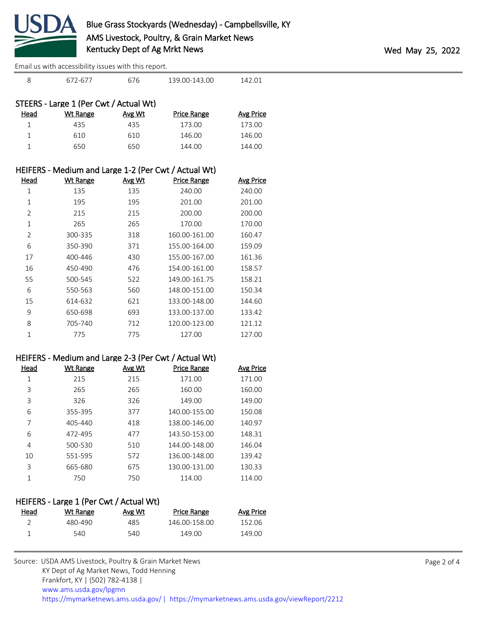

|                | Effiail us with accessibility issues with this report. |               |                                                      |                            |
|----------------|--------------------------------------------------------|---------------|------------------------------------------------------|----------------------------|
| $\,8\,$        | 672-677                                                | 676           | 139.00-143.00                                        | 142.01                     |
|                |                                                        |               |                                                      |                            |
|                | STEERS - Large 1 (Per Cwt / Actual Wt)                 |               |                                                      |                            |
| Head           | Wt Range                                               | Avg Wt        | <b>Price Range</b>                                   | <b>Avg Price</b>           |
| $1\,$          | 435                                                    | 435           | 173.00                                               | 173.00                     |
| $\mathbf{1}$   | 610                                                    | 610           | 146.00                                               | 146.00                     |
| $1\,$          | 650                                                    | 650           | 144.00                                               | 144.00                     |
|                |                                                        |               | HEIFERS - Medium and Large 1-2 (Per Cwt / Actual Wt) |                            |
| Head           | <b>Wt Range</b>                                        | Avg Wt        | <b>Price Range</b>                                   | <b>Avg Price</b>           |
| $\mathbf{1}$   | 135                                                    | 135           | 240.00                                               | 240.00                     |
| $\mathbf{1}$   | 195                                                    | 195           | 201.00                                               | 201.00                     |
| $\overline{2}$ | 215                                                    | 215           | 200.00                                               | 200.00                     |
| $\mathbf 1$    | 265                                                    | 265           | 170.00                                               | 170.00                     |
| $\overline{2}$ | 300-335                                                | 318           | 160.00-161.00                                        | 160.47                     |
| 6              | 350-390                                                | 371           | 155.00-164.00                                        | 159.09                     |
| 17             | 400-446                                                | 430           | 155.00-167.00                                        | 161.36                     |
| 16             | 450-490                                                | 476           | 154.00-161.00                                        | 158.57                     |
| 55             | 500-545                                                | 522           | 149.00-161.75                                        | 158.21                     |
| 6              | 550-563                                                | 560           | 148.00-151.00                                        | 150.34                     |
| 15             | 614-632                                                | 621           | 133.00-148.00                                        | 144.60                     |
|                |                                                        |               |                                                      |                            |
| 9              | 650-698                                                | 693           | 133.00-137.00                                        | 133.42                     |
| 8              | 705-740                                                | 712           | 120.00-123.00                                        | 121.12                     |
| $1\,$          | 775                                                    | 775           | 127.00                                               | 127.00                     |
|                |                                                        |               |                                                      |                            |
|                |                                                        |               | HEIFERS - Medium and Large 2-3 (Per Cwt / Actual Wt) |                            |
| <b>Head</b>    | Wt Range<br>215                                        | Avg Wt<br>215 | <b>Price Range</b><br>171.00                         | <b>Avg Price</b><br>171.00 |
| $1\,$          |                                                        |               |                                                      |                            |
| 3              | 265                                                    | 265           | 160.00                                               | 160.00                     |
| 3              | 326                                                    | 326           | 149.00                                               | 149.00                     |
| 6              | 355-395                                                | 377           | 140.00-155.00                                        | 150.08                     |
| 7              | 405-440                                                | 418           | 138.00-146.00                                        | 140.97                     |
| 6              | 472-495                                                | 477           | 143.50-153.00                                        | 148.31                     |
| 4              | 500-530                                                | 510           | 144.00-148.00                                        | 146.04                     |
| 10             | 551-595                                                | 572           | 136.00-148.00                                        | 139.42                     |
| 3              | 665-680                                                | 675           | 130.00-131.00                                        | 130.33                     |
| $\mathbf 1$    | 750                                                    | 750           | 114.00                                               | 114.00                     |
|                |                                                        |               |                                                      |                            |

## HEIFERS - Large 1 (Per Cwt / Actual Wt) Head Wt Range Avg Wt Price Range Avg Price 480-490 485 146.00-158.00 152.06 540 540 149.00 149.00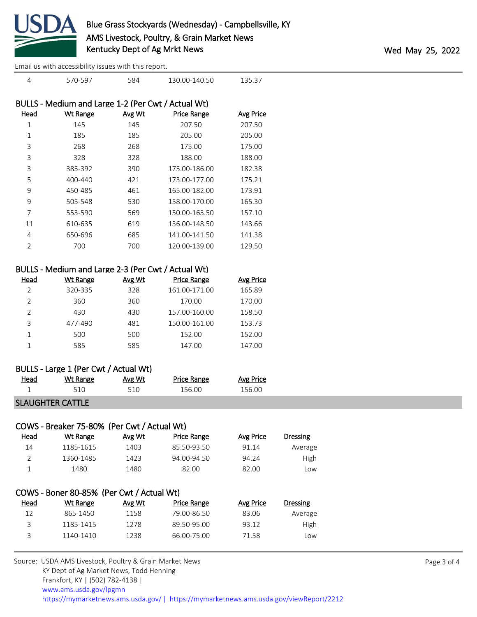

| Head          | BULLS - Medium and Large 1-2 (Per Cwt / Actual Wt)<br><b>Wt Range</b> | Avg Wt | <b>Price Range</b> | Avg Price |
|---------------|-----------------------------------------------------------------------|--------|--------------------|-----------|
| 1             | 145                                                                   | 145    | 207.50             | 207.50    |
| 1             | 185                                                                   | 185    | 205.00             | 205.00    |
| 3             | 268                                                                   | 268    | 175.00             | 175.00    |
| 3             | 328                                                                   | 328    | 188.00             | 188.00    |
| 3             | 385-392                                                               | 390    | 175.00-186.00      | 182.38    |
| 5             | $400 - 440$                                                           | 421    | 173.00-177.00      | 175.21    |
| 9             | 450-485                                                               | 461    | 165.00-182.00      | 173.91    |
| 9             | 505-548                                                               | 530    | 158.00-170.00      | 165.30    |
| 7             | 553-590                                                               | 569    | 150.00-163.50      | 157.10    |
| 11            | 610-635                                                               | 619    | 136.00-148.50      | 143.66    |
| 4             | 650-696                                                               | 685    | 141.00-141.50      | 141.38    |
| $\mathcal{P}$ | 700                                                                   | 700    | 120.00-139.00      | 129.50    |
|               |                                                                       |        |                    |           |

4 570-597 584 130.00-140.50 135.37

## BULLS - Medium and Large 2-3 (Per Cwt / Actual Wt)

| Head | Wt Range | Avg Wt | <b>Price Range</b> | Avg Price |
|------|----------|--------|--------------------|-----------|
|      | 320-335  | 328    | 161.00-171.00      | 165.89    |
|      | 360      | 360    | 170.00             | 170.00    |
|      | 430      | 430    | 157.00-160.00      | 158.50    |
| 3    | 477-490  | 481    | 150.00-161.00      | 153.73    |
|      | 500      | 500    | 152.00             | 152.00    |
|      | 585      | 585    | 147.00             | 147.00    |

## BULLS - Large 1 (Per Cwt / Actual Wt)

| Head | Wt Range                | Avg Wt | Price Range | Avg Price |  |
|------|-------------------------|--------|-------------|-----------|--|
|      | 510                     | 51 O   | 156.00      | 156.OO    |  |
|      | <b>SLAUGHTER CATTLE</b> |        |             |           |  |

# COWS - Breaker 75-80% (Per Cwt / Actual Wt)

| <u>Head</u> | Wt Range  | Avg Wt | Price Range | Avg Price | Dressing |
|-------------|-----------|--------|-------------|-----------|----------|
| 14          | 1185-1615 | 1403   | 85.50-93.50 | 91.14     | Average  |
|             | 1360-1485 | 1423   | 94.00-94.50 | 94.24     | High     |
|             | 1480      | 1480   | 82.00       | 82.00     | LOW      |

### COWS - Boner 80-85% (Per Cwt / Actual Wt) Head Wt Range Avg Wt Price Range Avg Price Dressing 12 865-1450 1158 79.00-86.50 83.06 Average 3 1185-1415 1278 89.50-95.00 93.12 High 3 1140-1410 1238 66.00-75.00 71.58 Low